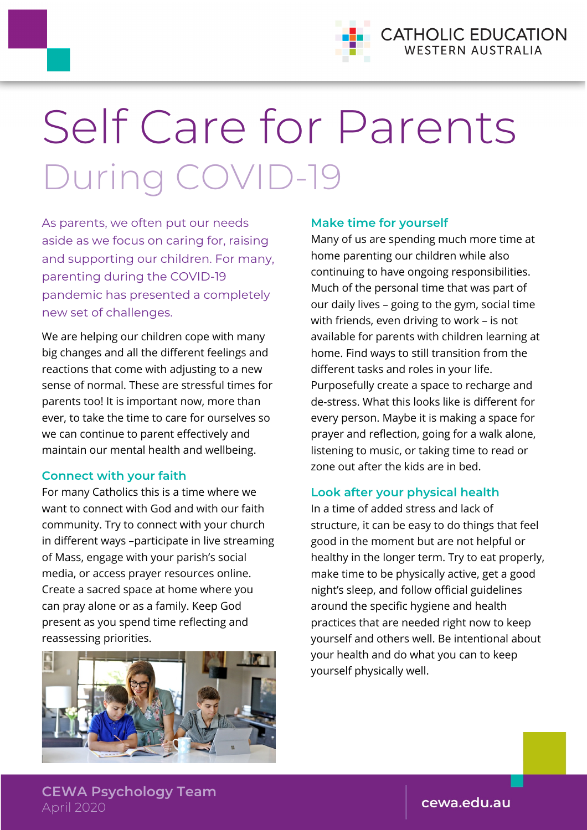

# Self Care for Parents During COVID-19

As parents, we often put our needs aside as we focus on caring for, raising and supporting our children. For many, parenting during the COVID-19 pandemic has presented a completely new set of challenges.

We are helping our children cope with many big changes and all the different feelings and reactions that come with adjusting to a new sense of normal. These are stressful times for parents too! It is important now, more than ever, to take the time to care for ourselves so we can continue to parent effectively and maintain our mental health and wellbeing.

# **Connect with your faith**

For many Catholics this is a time where we want to connect with God and with our faith community. Try to connect with your church in different ways –participate in live streaming of Mass, engage with your parish's social media, or access prayer resources online. Create a sacred space at home where you can pray alone or as a family. Keep God present as you spend time reflecting and reassessing priorities.



## **Make time for yourself**

Many of us are spending much more time at home parenting our children while also continuing to have ongoing responsibilities. Much of the personal time that was part of our daily lives – going to the gym, social time with friends, even driving to work – is not available for parents with children learning at home. Find ways to still transition from the different tasks and roles in your life. Purposefully create a space to recharge and de-stress. What this looks like is different for every person. Maybe it is making a space for prayer and reflection, going for a walk alone, listening to music, or taking time to read or zone out after the kids are in bed.

# **Look after your physical health**

In a time of added stress and lack of structure, it can be easy to do things that feel good in the moment but are not helpful or healthy in the longer term. Try to eat properly, make time to be physically active, get a good night's sleep, and follow official guidelines around the specific hygiene and health practices that are needed right now to keep yourself and others well. Be intentional about your health and do what you can to keep yourself physically well.

**CEWA Psychology Team** April 2020

cewa.edu.au